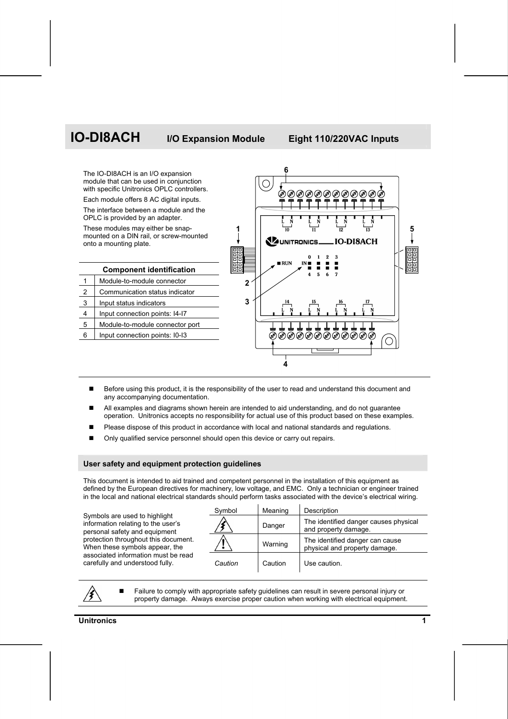# **IO-DI8ACH I/O Expansion Module Eight 110/220VAC Inputs**



- Before using this product, it is the responsibility of the user to read and understand this document and any accompanying documentation.
- All examples and diagrams shown herein are intended to aid understanding, and do not guarantee operation. Unitronics accepts no responsibility for actual use of this product based on these examples.
- Please dispose of this product in accordance with local and national standards and regulations.
- Only qualified service personnel should open this device or carry out repairs.

#### **User safety and equipment protection guidelines**

This document is intended to aid trained and competent personnel in the installation of this equipment as defined by the European directives for machinery, low voltage, and EMC. Only a technician or engineer trained in the local and national electrical standards should perform tasks associated with the device's electrical wiring.

Symbols are used to highlight information relating to the user's personal safety and equipment protection throughout this document. When these symbols appear, the associated information must be read carefully and understood fully.

| Symbol  | Meaning | Description                                                      |
|---------|---------|------------------------------------------------------------------|
|         | Danger  | The identified danger causes physical<br>and property damage.    |
|         | Warning | The identified danger can cause<br>physical and property damage. |
| Caution | Caution | Use caution.                                                     |

 Failure to comply with appropriate safety guidelines can result in severe personal injury or property damage. Always exercise proper caution when working with electrical equipment.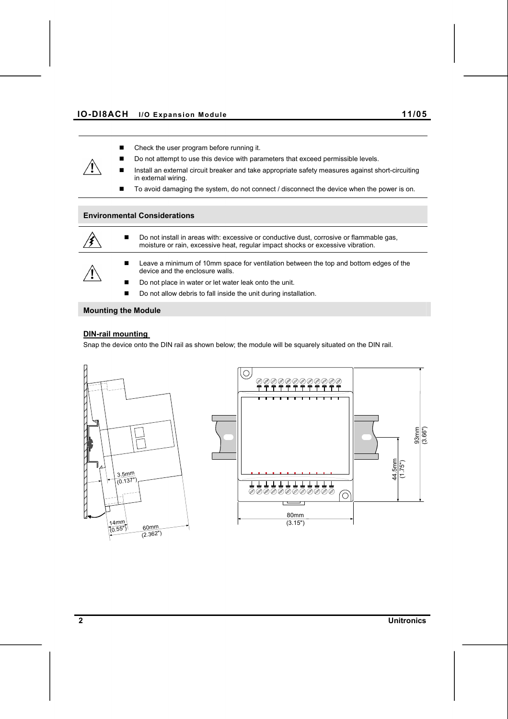- Check the user program before running it.
- Do not attempt to use this device with parameters that exceed permissible levels.
- Install an external circuit breaker and take appropriate safety measures against short-circuiting in external wiring.
- To avoid damaging the system, do not connect / disconnect the device when the power is on.

## **Environmental Considerations**



■ Do not install in areas with: excessive or conductive dust, corrosive or flammable gas, moisture or rain, excessive heat, regular impact shocks or excessive vibration.

**Leave a minimum of 10mm space for ventilation between the top and bottom edges of the** device and the enclosure walls.

- Do not place in water or let water leak onto the unit.
- Do not allow debris to fall inside the unit during installation.

# **Mounting the Module**

# **DIN-rail mounting**

Snap the device onto the DIN rail as shown below; the module will be squarely situated on the DIN rail.



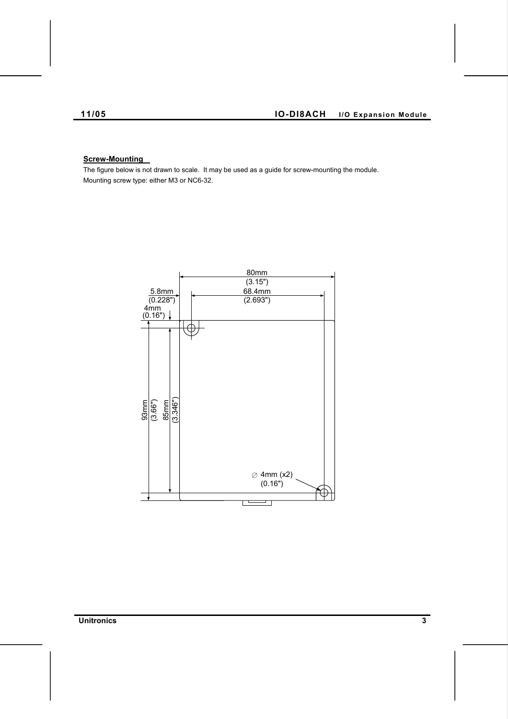# **Screw-Mounting**

The figure below is not drawn to scale. It may be used as a guide for screw-mounting the module. Mounting screw type: either M3 or NC6-32.



**Unitronics 3**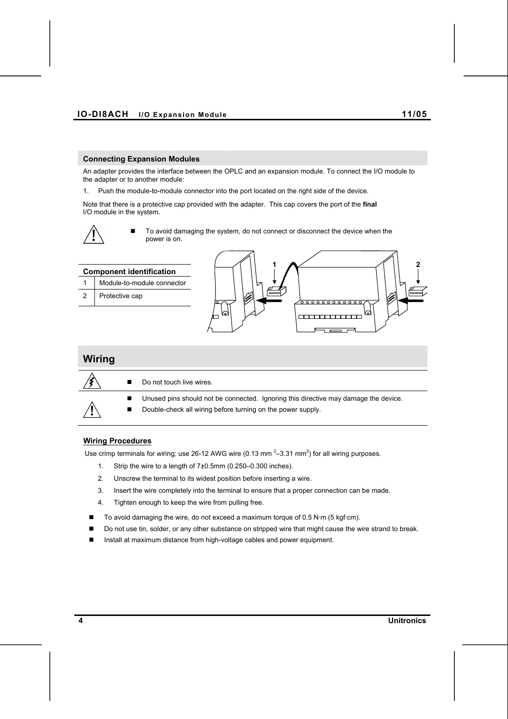#### **Connecting Expansion Modules**

An adapter provides the interface between the OPLC and an expansion module. To connect the I/O module to the adapter or to another module:

1. Push the module-to-module connector into the port located on the right side of the device.

Note that there is a protective cap provided with the adapter. This cap covers the port of the **final**  I/O module in the system.



 To avoid damaging the system, do not connect or disconnect the device when the power is on.



# **Wiring Procedures**

Use crimp terminals for wiring; use 26-12 AWG wire (0.13 mm<sup>2</sup>-3.31 mm<sup>2</sup>) for all wiring purposes.

- 1. Strip the wire to a length of 7±0.5mm (0.250–0.300 inches).
- 2. Unscrew the terminal to its widest position before inserting a wire.
- 3. Insert the wire completely into the terminal to ensure that a proper connection can be made.
- 4. Tighten enough to keep the wire from pulling free.
- $\blacksquare$  To avoid damaging the wire, do not exceed a maximum torque of 0.5 N·m (5 kgf·cm).
- Do not use tin, solder, or any other substance on stripped wire that might cause the wire strand to break.
- Install at maximum distance from high-voltage cables and power equipment.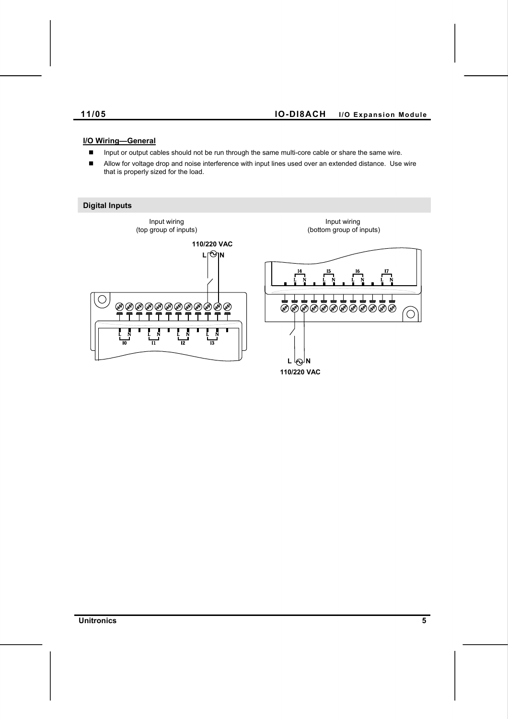# **I/O Wiring—General**

- **Input or output cables should not be run through the same multi-core cable or share the same wire.**
- **IF** Allow for voltage drop and noise interference with input lines used over an extended distance. Use wire that is properly sized for the load.

# **Digital Inputs** Input wiring Input wiring (top group of inputs) (bottom group of inputs) **110/220 VAC**  $L \odot N$  $\bigcirc$ 866888888888 **⊘⊘⊘⊘⊘⊘⊘⊘⊘**⊘⊘<br>۲۲۲۲۲۲۲۲۲۲ Ô **L N110/220 VAC**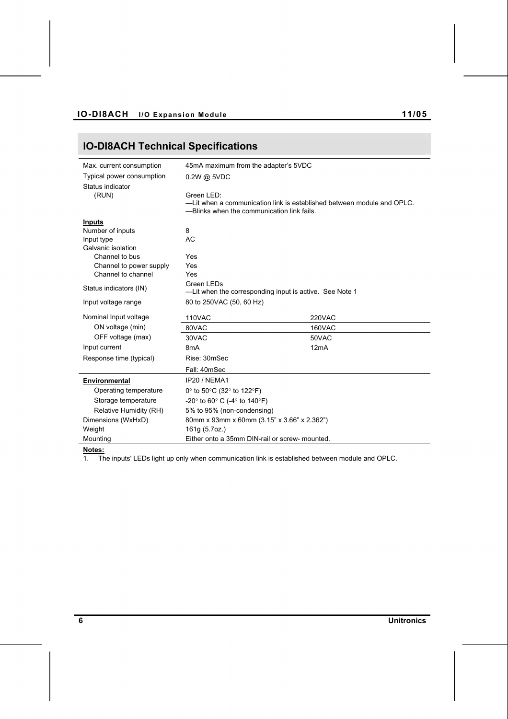# **IO-DI8ACH Technical Specifications**

| Max. current consumption       | 45mA maximum from the adapter's 5VDC                                                                                 |               |  |
|--------------------------------|----------------------------------------------------------------------------------------------------------------------|---------------|--|
| Typical power consumption      | $0.2W$ @ 5VDC                                                                                                        |               |  |
| Status indicator               |                                                                                                                      |               |  |
| (RUN)                          | Green LED:                                                                                                           |               |  |
|                                | -Lit when a communication link is established between module and OPLC.<br>-Blinks when the communication link fails. |               |  |
|                                |                                                                                                                      |               |  |
| <b>Inputs</b>                  | 8                                                                                                                    |               |  |
| Number of inputs<br>Input type | AC                                                                                                                   |               |  |
| Galvanic isolation             |                                                                                                                      |               |  |
| Channel to bus                 | Yes                                                                                                                  |               |  |
| Channel to power supply        | Yes                                                                                                                  |               |  |
| Channel to channel             | Yes                                                                                                                  |               |  |
|                                | Green LEDs                                                                                                           |               |  |
| Status indicators (IN)         | -Lit when the corresponding input is active. See Note 1                                                              |               |  |
| Input voltage range            | 80 to 250VAC (50, 60 Hz)                                                                                             |               |  |
| Nominal Input voltage          | 110VAC                                                                                                               | <b>220VAC</b> |  |
| ON voltage (min)               | 80VAC                                                                                                                | 160VAC        |  |
| OFF voltage (max)              | 30VAC                                                                                                                | 50VAC         |  |
| Input current                  | 8 <sub>m</sub> A                                                                                                     | 12mA          |  |
| Response time (typical)        | Rise: 30mSec                                                                                                         |               |  |
|                                | Fall: 40mSec                                                                                                         |               |  |
| <b>Environmental</b>           | IP20 / NEMA1                                                                                                         |               |  |
| Operating temperature          | 0 $\degree$ to 50 $\degree$ C (32 $\degree$ to 122 $\degree$ F)                                                      |               |  |
| Storage temperature            | $-20^\circ$ to 60 $^\circ$ C ( $-4^\circ$ to 140 $^\circ$ F)                                                         |               |  |
| Relative Humidity (RH)         | 5% to 95% (non-condensing)                                                                                           |               |  |
| Dimensions (WxHxD)             | 80mm x 93mm x 60mm (3.15" x 3.66" x 2.362")                                                                          |               |  |
| Weight                         | 161g (5.7oz.)                                                                                                        |               |  |
| Mountina                       | Either onto a 35mm DIN-rail or screw- mounted.                                                                       |               |  |

### **Notes:**

1. The inputs' LEDs light up only when communication link is established between module and OPLC.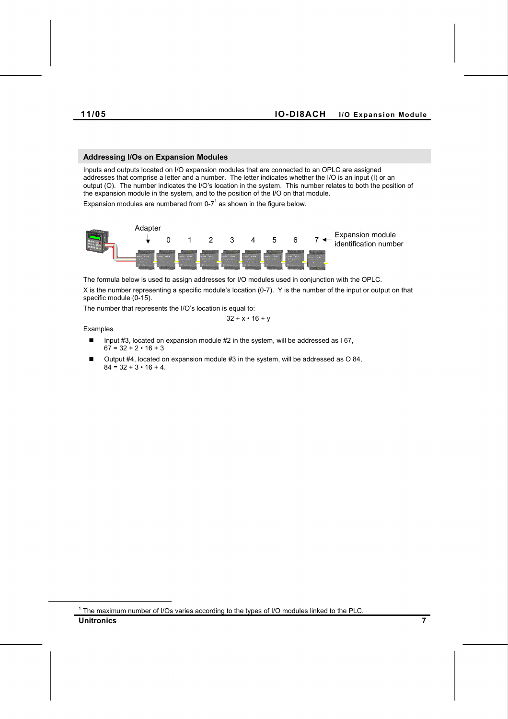#### **Addressing I/Os on Expansion Modules**

Inputs and outputs located on I/O expansion modules that are connected to an OPLC are assigned addresses that comprise a letter and a number. The letter indicates whether the I/O is an input (I) or an output (O). The number indicates the I/O's location in the system. This number relates to both the position of the expansion module in the system, and to the position of the I/O on that module. Expansion modules are numbered from 0-7 $1$  as shown in the figure below.



The formula below is used to assign addresses for I/O modules used in conjunction with the OPLC. X is the number representing a specific module's location (0-7). Y is the number of the input or output on that specific module (0-15).

The number that represents the I/O's location is equal to:

Examples

 $\overline{a}$ 

$$
32 + x \cdot 16 + y
$$

- Input #3, located on expansion module #2 in the system, will be addressed as  $167$ ,  $67 = 32 + 2 \cdot 16 + 3$
- Output #4, located on expansion module #3 in the system, will be addressed as O 84,  $84 = 32 + 3 \cdot 16 + 4$ .